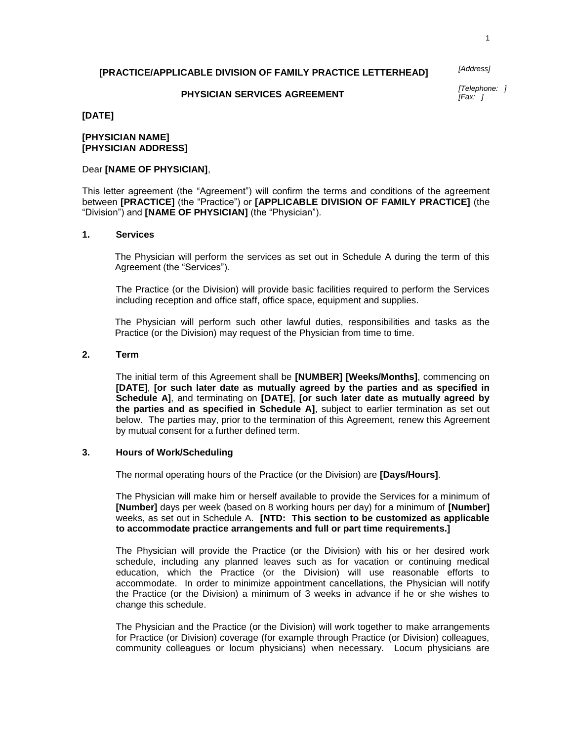### **[PRACTICE/APPLICABLE DIVISION OF FAMILY PRACTICE LETTERHEAD]**

*[Address]*

#### **PHYSICIAN SERVICES AGREEMENT**

*[Telephone: ] [Fax: ]*

### **[DATE]**

#### **[PHYSICIAN NAME] [PHYSICIAN ADDRESS]**

# Dear **[NAME OF PHYSICIAN]**,

This letter agreement (the "Agreement") will confirm the terms and conditions of the agreement between **[PRACTICE]** (the "Practice") or **[APPLICABLE DIVISION OF FAMILY PRACTICE]** (the "Division") and **[NAME OF PHYSICIAN]** (the "Physician").

#### **1. Services**

The Physician will perform the services as set out in Schedule A during the term of this Agreement (the "Services").

The Practice (or the Division) will provide basic facilities required to perform the Services including reception and office staff, office space, equipment and supplies.

The Physician will perform such other lawful duties, responsibilities and tasks as the Practice (or the Division) may request of the Physician from time to time.

### **2. Term**

The initial term of this Agreement shall be **[NUMBER] [Weeks/Months]**, commencing on **[DATE]**, **[or such later date as mutually agreed by the parties and as specified in Schedule A]**, and terminating on **[DATE]**, **[or such later date as mutually agreed by the parties and as specified in Schedule A]**, subject to earlier termination as set out below. The parties may, prior to the termination of this Agreement, renew this Agreement by mutual consent for a further defined term.

#### **3. Hours of Work/Scheduling**

The normal operating hours of the Practice (or the Division) are **[Days/Hours]**.

The Physician will make him or herself available to provide the Services for a minimum of **[Number]** days per week (based on 8 working hours per day) for a minimum of **[Number]** weeks, as set out in Schedule A. **[NTD: This section to be customized as applicable to accommodate practice arrangements and full or part time requirements.]**

The Physician will provide the Practice (or the Division) with his or her desired work schedule, including any planned leaves such as for vacation or continuing medical education, which the Practice (or the Division) will use reasonable efforts to accommodate. In order to minimize appointment cancellations, the Physician will notify the Practice (or the Division) a minimum of 3 weeks in advance if he or she wishes to change this schedule.

The Physician and the Practice (or the Division) will work together to make arrangements for Practice (or Division) coverage (for example through Practice (or Division) colleagues, community colleagues or locum physicians) when necessary. Locum physicians are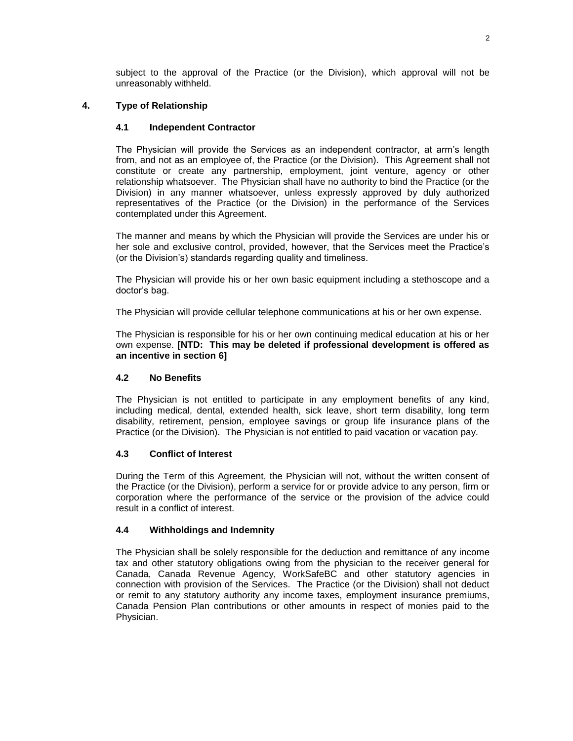subject to the approval of the Practice (or the Division), which approval will not be unreasonably withheld.

# **4. Type of Relationship**

# **4.1 Independent Contractor**

The Physician will provide the Services as an independent contractor, at arm's length from, and not as an employee of, the Practice (or the Division). This Agreement shall not constitute or create any partnership, employment, joint venture, agency or other relationship whatsoever. The Physician shall have no authority to bind the Practice (or the Division) in any manner whatsoever, unless expressly approved by duly authorized representatives of the Practice (or the Division) in the performance of the Services contemplated under this Agreement.

The manner and means by which the Physician will provide the Services are under his or her sole and exclusive control, provided, however, that the Services meet the Practice's (or the Division's) standards regarding quality and timeliness.

The Physician will provide his or her own basic equipment including a stethoscope and a doctor's bag.

The Physician will provide cellular telephone communications at his or her own expense.

The Physician is responsible for his or her own continuing medical education at his or her own expense. **[NTD: This may be deleted if professional development is offered as an incentive in section 6]**

# **4.2 No Benefits**

The Physician is not entitled to participate in any employment benefits of any kind, including medical, dental, extended health, sick leave, short term disability, long term disability, retirement, pension, employee savings or group life insurance plans of the Practice (or the Division). The Physician is not entitled to paid vacation or vacation pay.

# **4.3 Conflict of Interest**

During the Term of this Agreement, the Physician will not, without the written consent of the Practice (or the Division), perform a service for or provide advice to any person, firm or corporation where the performance of the service or the provision of the advice could result in a conflict of interest.

# **4.4 Withholdings and Indemnity**

The Physician shall be solely responsible for the deduction and remittance of any income tax and other statutory obligations owing from the physician to the receiver general for Canada, Canada Revenue Agency, WorkSafeBC and other statutory agencies in connection with provision of the Services. The Practice (or the Division) shall not deduct or remit to any statutory authority any income taxes, employment insurance premiums, Canada Pension Plan contributions or other amounts in respect of monies paid to the Physician.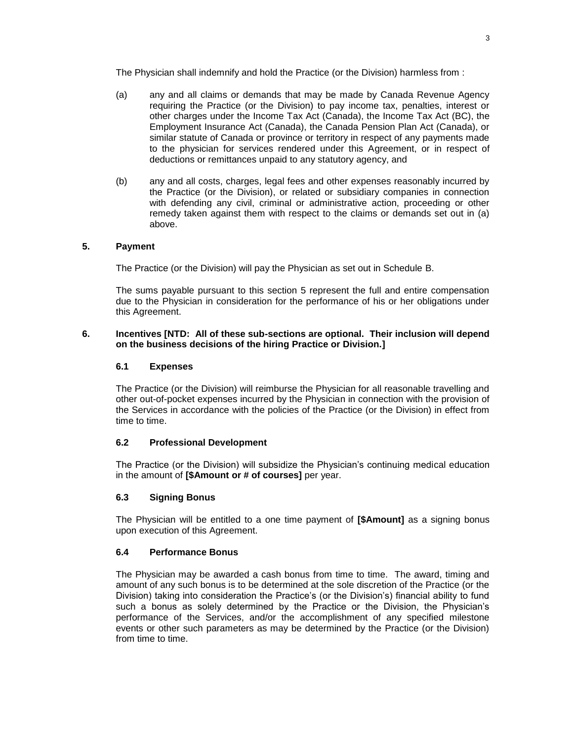The Physician shall indemnify and hold the Practice (or the Division) harmless from :

- (a) any and all claims or demands that may be made by Canada Revenue Agency requiring the Practice (or the Division) to pay income tax, penalties, interest or other charges under the Income Tax Act (Canada), the Income Tax Act (BC), the Employment Insurance Act (Canada), the Canada Pension Plan Act (Canada), or similar statute of Canada or province or territory in respect of any payments made to the physician for services rendered under this Agreement, or in respect of deductions or remittances unpaid to any statutory agency, and
- (b) any and all costs, charges, legal fees and other expenses reasonably incurred by the Practice (or the Division), or related or subsidiary companies in connection with defending any civil, criminal or administrative action, proceeding or other remedy taken against them with respect to the claims or demands set out in (a) above.

### **5. Payment**

The Practice (or the Division) will pay the Physician as set out in Schedule B.

The sums payable pursuant to this section 5 represent the full and entire compensation due to the Physician in consideration for the performance of his or her obligations under this Agreement.

### **6. Incentives [NTD: All of these sub-sections are optional. Their inclusion will depend on the business decisions of the hiring Practice or Division.]**

#### **6.1 Expenses**

The Practice (or the Division) will reimburse the Physician for all reasonable travelling and other out-of-pocket expenses incurred by the Physician in connection with the provision of the Services in accordance with the policies of the Practice (or the Division) in effect from time to time.

### **6.2 Professional Development**

The Practice (or the Division) will subsidize the Physician's continuing medical education in the amount of **[\$Amount or # of courses]** per year.

### **6.3 Signing Bonus**

The Physician will be entitled to a one time payment of **[\$Amount]** as a signing bonus upon execution of this Agreement.

### **6.4 Performance Bonus**

The Physician may be awarded a cash bonus from time to time. The award, timing and amount of any such bonus is to be determined at the sole discretion of the Practice (or the Division) taking into consideration the Practice's (or the Division's) financial ability to fund such a bonus as solely determined by the Practice or the Division, the Physician's performance of the Services, and/or the accomplishment of any specified milestone events or other such parameters as may be determined by the Practice (or the Division) from time to time.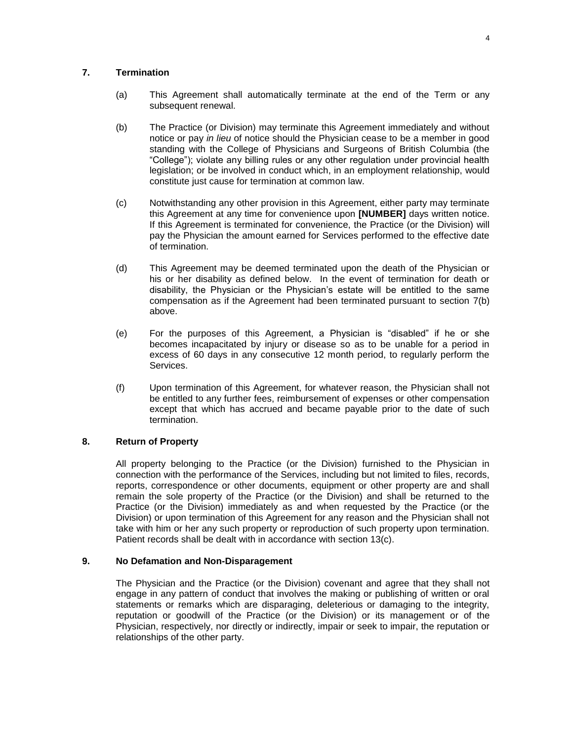### **7. Termination**

- (a) This Agreement shall automatically terminate at the end of the Term or any subsequent renewal.
- (b) The Practice (or Division) may terminate this Agreement immediately and without notice or pay *in lieu* of notice should the Physician cease to be a member in good standing with the College of Physicians and Surgeons of British Columbia (the "College"); violate any billing rules or any other regulation under provincial health legislation; or be involved in conduct which, in an employment relationship, would constitute just cause for termination at common law.
- (c) Notwithstanding any other provision in this Agreement, either party may terminate this Agreement at any time for convenience upon **[NUMBER]** days written notice. If this Agreement is terminated for convenience, the Practice (or the Division) will pay the Physician the amount earned for Services performed to the effective date of termination.
- (d) This Agreement may be deemed terminated upon the death of the Physician or his or her disability as defined below. In the event of termination for death or disability, the Physician or the Physician's estate will be entitled to the same compensation as if the Agreement had been terminated pursuant to section 7(b) above.
- (e) For the purposes of this Agreement, a Physician is "disabled" if he or she becomes incapacitated by injury or disease so as to be unable for a period in excess of 60 days in any consecutive 12 month period, to regularly perform the Services.
- (f) Upon termination of this Agreement, for whatever reason, the Physician shall not be entitled to any further fees, reimbursement of expenses or other compensation except that which has accrued and became payable prior to the date of such termination.

### **8. Return of Property**

All property belonging to the Practice (or the Division) furnished to the Physician in connection with the performance of the Services, including but not limited to files, records, reports, correspondence or other documents, equipment or other property are and shall remain the sole property of the Practice (or the Division) and shall be returned to the Practice (or the Division) immediately as and when requested by the Practice (or the Division) or upon termination of this Agreement for any reason and the Physician shall not take with him or her any such property or reproduction of such property upon termination. Patient records shall be dealt with in accordance with section 13(c).

### **9. No Defamation and Non-Disparagement**

The Physician and the Practice (or the Division) covenant and agree that they shall not engage in any pattern of conduct that involves the making or publishing of written or oral statements or remarks which are disparaging, deleterious or damaging to the integrity, reputation or goodwill of the Practice (or the Division) or its management or of the Physician, respectively, nor directly or indirectly, impair or seek to impair, the reputation or relationships of the other party.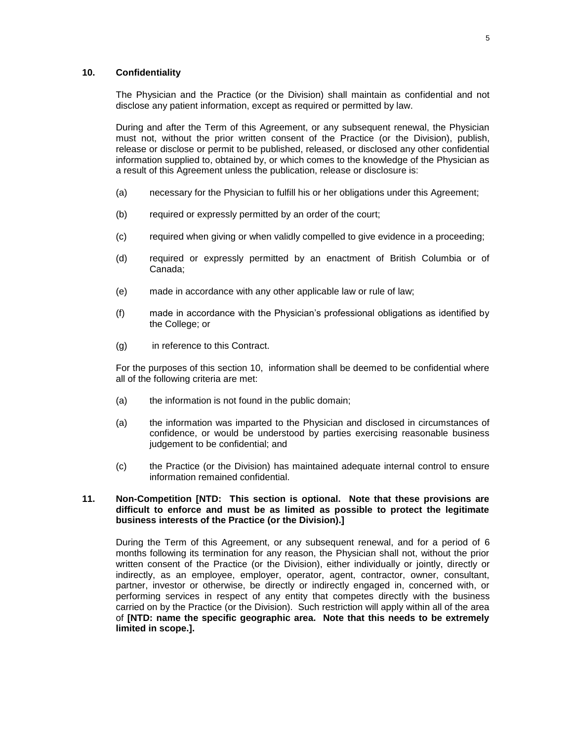### **10. Confidentiality**

The Physician and the Practice (or the Division) shall maintain as confidential and not disclose any patient information, except as required or permitted by law.

During and after the Term of this Agreement, or any subsequent renewal, the Physician must not, without the prior written consent of the Practice (or the Division), publish, release or disclose or permit to be published, released, or disclosed any other confidential information supplied to, obtained by, or which comes to the knowledge of the Physician as a result of this Agreement unless the publication, release or disclosure is:

- (a) necessary for the Physician to fulfill his or her obligations under this Agreement;
- (b) required or expressly permitted by an order of the court;
- (c) required when giving or when validly compelled to give evidence in a proceeding;
- (d) required or expressly permitted by an enactment of British Columbia or of Canada;
- (e) made in accordance with any other applicable law or rule of law;
- (f) made in accordance with the Physician's professional obligations as identified by the College; or
- (g) in reference to this Contract.

For the purposes of this section 10, information shall be deemed to be confidential where all of the following criteria are met:

- (a) the information is not found in the public domain;
- (a) the information was imparted to the Physician and disclosed in circumstances of confidence, or would be understood by parties exercising reasonable business judgement to be confidential; and
- (c) the Practice (or the Division) has maintained adequate internal control to ensure information remained confidential.

#### **11. Non-Competition [NTD: This section is optional. Note that these provisions are difficult to enforce and must be as limited as possible to protect the legitimate business interests of the Practice (or the Division).]**

During the Term of this Agreement, or any subsequent renewal, and for a period of 6 months following its termination for any reason, the Physician shall not, without the prior written consent of the Practice (or the Division), either individually or jointly, directly or indirectly, as an employee, employer, operator, agent, contractor, owner, consultant, partner, investor or otherwise, be directly or indirectly engaged in, concerned with, or performing services in respect of any entity that competes directly with the business carried on by the Practice (or the Division). Such restriction will apply within all of the area of **[NTD: name the specific geographic area. Note that this needs to be extremely limited in scope.].**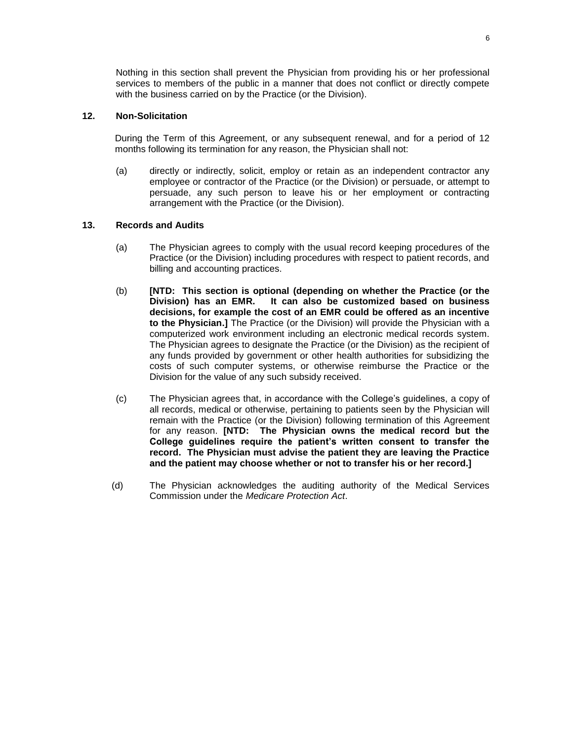Nothing in this section shall prevent the Physician from providing his or her professional services to members of the public in a manner that does not conflict or directly compete with the business carried on by the Practice (or the Division).

### **12. Non-Solicitation**

During the Term of this Agreement, or any subsequent renewal, and for a period of 12 months following its termination for any reason, the Physician shall not:

(a) directly or indirectly, solicit, employ or retain as an independent contractor any employee or contractor of the Practice (or the Division) or persuade, or attempt to persuade, any such person to leave his or her employment or contracting arrangement with the Practice (or the Division).

#### **13. Records and Audits**

- (a) The Physician agrees to comply with the usual record keeping procedures of the Practice (or the Division) including procedures with respect to patient records, and billing and accounting practices.
- (b) **[NTD: This section is optional (depending on whether the Practice (or the Division) has an EMR. It can also be customized based on business decisions, for example the cost of an EMR could be offered as an incentive to the Physician.]** The Practice (or the Division) will provide the Physician with a computerized work environment including an electronic medical records system. The Physician agrees to designate the Practice (or the Division) as the recipient of any funds provided by government or other health authorities for subsidizing the costs of such computer systems, or otherwise reimburse the Practice or the Division for the value of any such subsidy received.
- (c) The Physician agrees that, in accordance with the College's guidelines, a copy of all records, medical or otherwise, pertaining to patients seen by the Physician will remain with the Practice (or the Division) following termination of this Agreement for any reason. **[NTD: The Physician owns the medical record but the College guidelines require the patient's written consent to transfer the record. The Physician must advise the patient they are leaving the Practice and the patient may choose whether or not to transfer his or her record.]**
- (d) The Physician acknowledges the auditing authority of the Medical Services Commission under the *Medicare Protection Act*.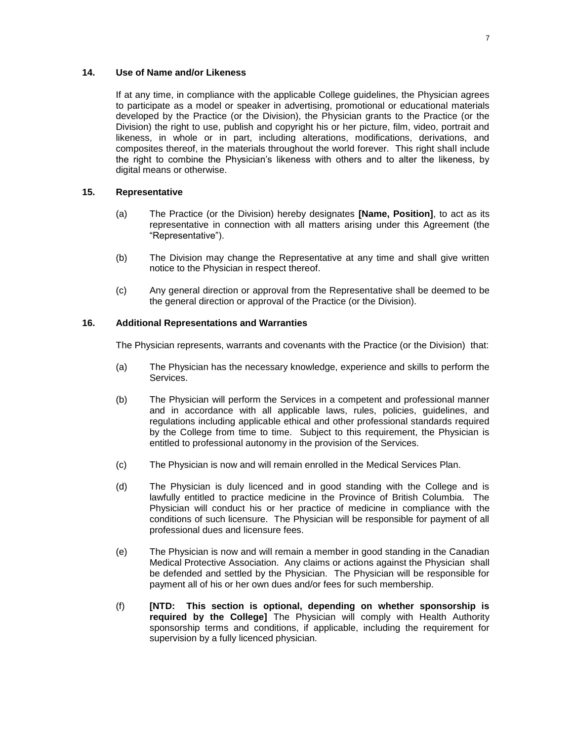### **14. Use of Name and/or Likeness**

If at any time, in compliance with the applicable College guidelines, the Physician agrees to participate as a model or speaker in advertising, promotional or educational materials developed by the Practice (or the Division), the Physician grants to the Practice (or the Division) the right to use, publish and copyright his or her picture, film, video, portrait and likeness, in whole or in part, including alterations, modifications, derivations, and composites thereof, in the materials throughout the world forever. This right shall include the right to combine the Physician's likeness with others and to alter the likeness, by digital means or otherwise.

### **15. Representative**

- (a) The Practice (or the Division) hereby designates **[Name, Position]**, to act as its representative in connection with all matters arising under this Agreement (the "Representative").
- (b) The Division may change the Representative at any time and shall give written notice to the Physician in respect thereof.
- (c) Any general direction or approval from the Representative shall be deemed to be the general direction or approval of the Practice (or the Division).

### **16. Additional Representations and Warranties**

The Physician represents, warrants and covenants with the Practice (or the Division) that:

- (a) The Physician has the necessary knowledge, experience and skills to perform the Services.
- (b) The Physician will perform the Services in a competent and professional manner and in accordance with all applicable laws, rules, policies, guidelines, and regulations including applicable ethical and other professional standards required by the College from time to time. Subject to this requirement, the Physician is entitled to professional autonomy in the provision of the Services.
- (c) The Physician is now and will remain enrolled in the Medical Services Plan.
- (d) The Physician is duly licenced and in good standing with the College and is lawfully entitled to practice medicine in the Province of British Columbia. The Physician will conduct his or her practice of medicine in compliance with the conditions of such licensure. The Physician will be responsible for payment of all professional dues and licensure fees.
- (e) The Physician is now and will remain a member in good standing in the Canadian Medical Protective Association. Any claims or actions against the Physician shall be defended and settled by the Physician. The Physician will be responsible for payment all of his or her own dues and/or fees for such membership.
- (f) **[NTD: This section is optional, depending on whether sponsorship is required by the College]** The Physician will comply with Health Authority sponsorship terms and conditions, if applicable, including the requirement for supervision by a fully licenced physician.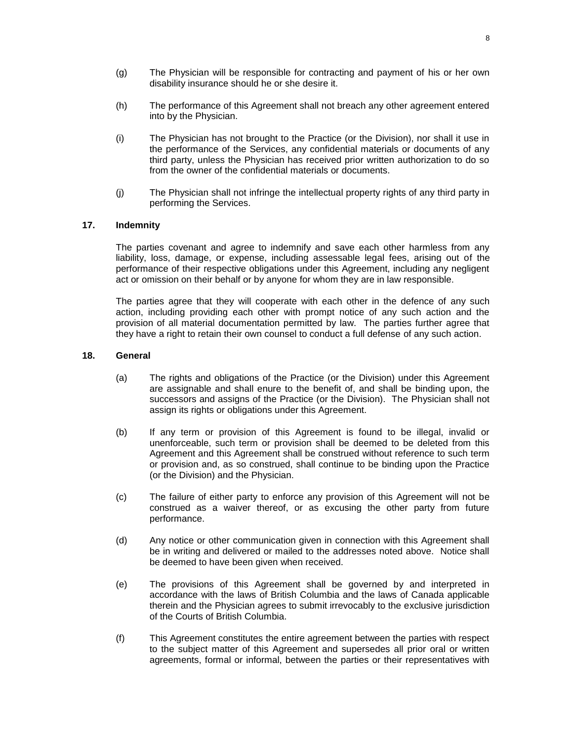- (g) The Physician will be responsible for contracting and payment of his or her own disability insurance should he or she desire it.
- (h) The performance of this Agreement shall not breach any other agreement entered into by the Physician.
- (i) The Physician has not brought to the Practice (or the Division), nor shall it use in the performance of the Services, any confidential materials or documents of any third party, unless the Physician has received prior written authorization to do so from the owner of the confidential materials or documents.
- (j) The Physician shall not infringe the intellectual property rights of any third party in performing the Services.

#### **17. Indemnity**

The parties covenant and agree to indemnify and save each other harmless from any liability, loss, damage, or expense, including assessable legal fees, arising out of the performance of their respective obligations under this Agreement, including any negligent act or omission on their behalf or by anyone for whom they are in law responsible.

The parties agree that they will cooperate with each other in the defence of any such action, including providing each other with prompt notice of any such action and the provision of all material documentation permitted by law. The parties further agree that they have a right to retain their own counsel to conduct a full defense of any such action.

#### **18. General**

- (a) The rights and obligations of the Practice (or the Division) under this Agreement are assignable and shall enure to the benefit of, and shall be binding upon, the successors and assigns of the Practice (or the Division). The Physician shall not assign its rights or obligations under this Agreement.
- (b) If any term or provision of this Agreement is found to be illegal, invalid or unenforceable, such term or provision shall be deemed to be deleted from this Agreement and this Agreement shall be construed without reference to such term or provision and, as so construed, shall continue to be binding upon the Practice (or the Division) and the Physician.
- (c) The failure of either party to enforce any provision of this Agreement will not be construed as a waiver thereof, or as excusing the other party from future performance.
- (d) Any notice or other communication given in connection with this Agreement shall be in writing and delivered or mailed to the addresses noted above. Notice shall be deemed to have been given when received.
- (e) The provisions of this Agreement shall be governed by and interpreted in accordance with the laws of British Columbia and the laws of Canada applicable therein and the Physician agrees to submit irrevocably to the exclusive jurisdiction of the Courts of British Columbia.
- (f) This Agreement constitutes the entire agreement between the parties with respect to the subject matter of this Agreement and supersedes all prior oral or written agreements, formal or informal, between the parties or their representatives with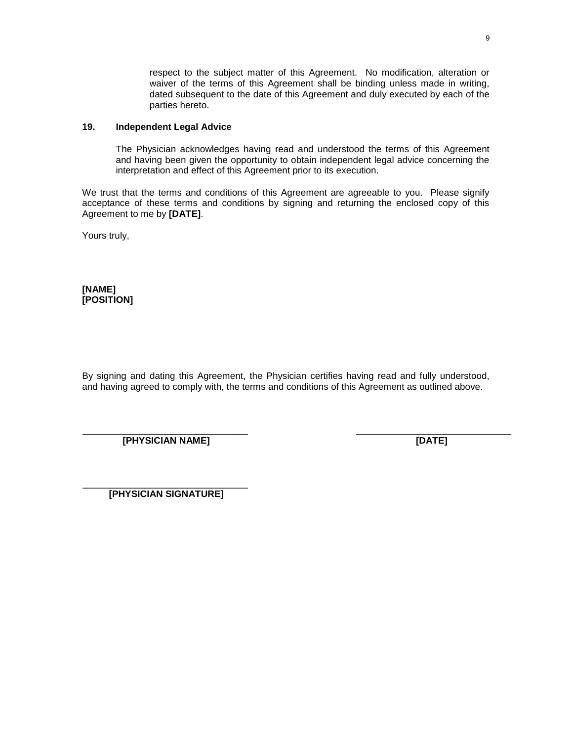respect to the subject matter of this Agreement. No modification, alteration or waiver of the terms of this Agreement shall be binding unless made in writing, dated subsequent to the date of this Agreement and duly executed by each of the parties hereto.

### **19. Independent Legal Advice**

The Physician acknowledges having read and understood the terms of this Agreement and having been given the opportunity to obtain independent legal advice concerning the interpretation and effect of this Agreement prior to its execution.

We trust that the terms and conditions of this Agreement are agreeable to you. Please signify acceptance of these terms and conditions by signing and returning the enclosed copy of this Agreement to me by **[DATE]**.

Yours truly,

**[NAME] [POSITION]**

By signing and dating this Agreement, the Physician certifies having read and fully understood, and having agreed to comply with, the terms and conditions of this Agreement as outlined above.

 $\frac{1}{2}$  , the contribution of the contribution of the contribution of the contribution of the contribution of the contribution of the contribution of the contribution of the contribution of the contribution of the contr

**[PHYSICIAN NAME] [DATE]**

\_\_\_\_\_\_\_\_\_\_\_\_\_\_\_\_\_\_\_\_\_\_\_\_\_\_\_\_\_\_\_\_ **[PHYSICIAN SIGNATURE]**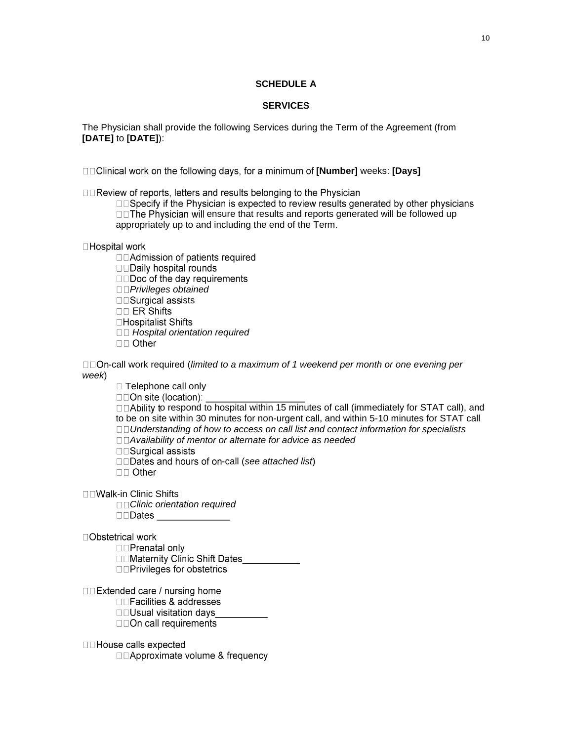### **SCHEDULE A**

### **SERVICES**

The Physician shall provide the following Services during the Term of the Agreement (from **[DATE]** to **[DATE]**):

□□Clinical work on the following days, for a minimum of **[Number]** weeks: **[Days]** 

□□Review of reports, letters and results belonging to the Physician

□□Specify if the Physician is expected to review results generated by other physicians DOThe Physician will ensure that results and reports generated will be followed up appropriately up to and including the end of the Term.

□Hospital work

□□Admission of patients required

□□Daily hospital rounds

□□Doc of the day requirements

*Privileges obtained*

□□Surgical assists

 $\Box$  ER Shifts

□Hospitalist Shifts

*Hospital orientation required*

 $\Box$  Other

□□On-call work required (*limited to a maximum of 1 weekend per month or one evening per week*)

□ Telephone call only

□□On site (location):

 $\Box$  $\Box$ Ability to respond to hospital within 15 minutes of call (immediately for STAT call), and to be on site within 30 minutes for non-urgent call, and within 5-10 minutes for STAT call *Understanding of how to access on call list and contact information for specialists* 

*Availability of mentor or alternate for advice as needed*

□□Surgical assists

□□Dates and hours of on-call (see attached list)

 $\Pi$  Other

□□Walk-in Clinic Shifts

*Clinic orientation required*

□Obstetrical work

□□Prenatal only

□□Maternity Clinic Shift Dates

□□Privileges for obstetrics

□□Extended care / nursing home

□□Facilities & addresses

□□Usual visitation days

**DDOn call requirements** 

□□House calls expected

□□Approximate volume & frequency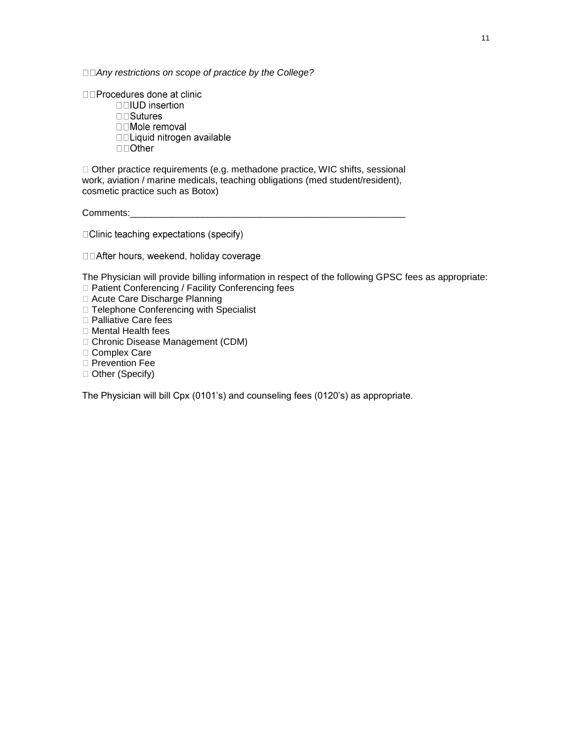*Any restrictions on scope of practice by the College?*

□□Procedures done at clinic □□IUD insertion □□Sutures □□Mole removal □□Liquid nitrogen available  $\square$  Other

□ Other practice requirements (e.g. methadone practice, WIC shifts, sessional work, aviation / marine medicals, teaching obligations (med student/resident), cosmetic practice such as Botox)

Comments:

□ Clinic teaching expectations (specify)

□□After hours, weekend, holiday coverage

The Physician will provide billing information in respect of the following GPSC fees as appropriate: □ Patient Conferencing / Facility Conferencing fees

□ Acute Care Discharge Planning

□ Telephone Conferencing with Specialist

□ Palliative Care fees

□ Mental Health fees

Chronic Disease Management (CDM)

□ Complex Care

□ Prevention Fee

□ Other (Specify)

The Physician will bill Cpx (0101's) and counseling fees (0120's) as appropriate.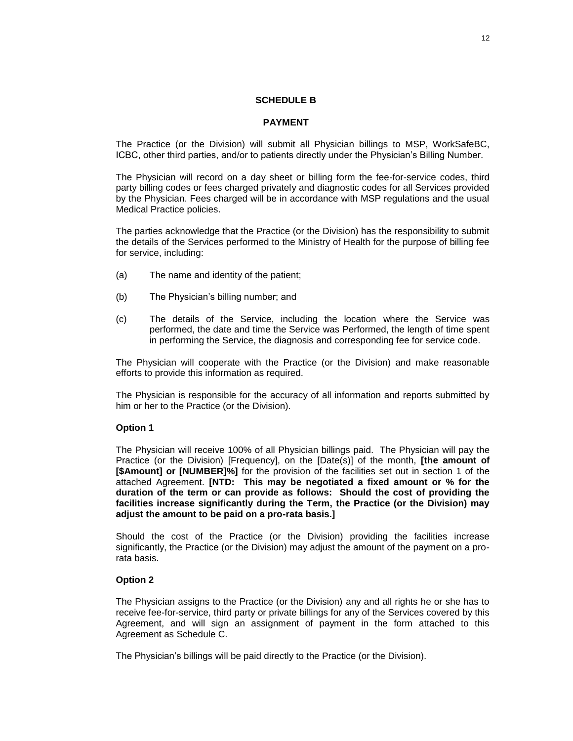#### **SCHEDULE B**

#### **PAYMENT**

The Practice (or the Division) will submit all Physician billings to MSP, WorkSafeBC, ICBC, other third parties, and/or to patients directly under the Physician's Billing Number.

The Physician will record on a day sheet or billing form the fee-for-service codes, third party billing codes or fees charged privately and diagnostic codes for all Services provided by the Physician. Fees charged will be in accordance with MSP regulations and the usual Medical Practice policies.

The parties acknowledge that the Practice (or the Division) has the responsibility to submit the details of the Services performed to the Ministry of Health for the purpose of billing fee for service, including:

- (a) The name and identity of the patient;
- (b) The Physician's billing number; and
- (c) The details of the Service, including the location where the Service was performed, the date and time the Service was Performed, the length of time spent in performing the Service, the diagnosis and corresponding fee for service code.

The Physician will cooperate with the Practice (or the Division) and make reasonable efforts to provide this information as required.

The Physician is responsible for the accuracy of all information and reports submitted by him or her to the Practice (or the Division).

#### **Option 1**

The Physician will receive 100% of all Physician billings paid. The Physician will pay the Practice (or the Division) [Frequency], on the [Date(s)] of the month, **[the amount of [\$Amount] or [NUMBER]%]** for the provision of the facilities set out in section 1 of the attached Agreement. **[NTD: This may be negotiated a fixed amount or % for the duration of the term or can provide as follows: Should the cost of providing the facilities increase significantly during the Term, the Practice (or the Division) may adjust the amount to be paid on a pro-rata basis.]**

Should the cost of the Practice (or the Division) providing the facilities increase significantly, the Practice (or the Division) may adjust the amount of the payment on a prorata basis.

#### **Option 2**

The Physician assigns to the Practice (or the Division) any and all rights he or she has to receive fee-for-service, third party or private billings for any of the Services covered by this Agreement, and will sign an assignment of payment in the form attached to this Agreement as Schedule C.

The Physician's billings will be paid directly to the Practice (or the Division).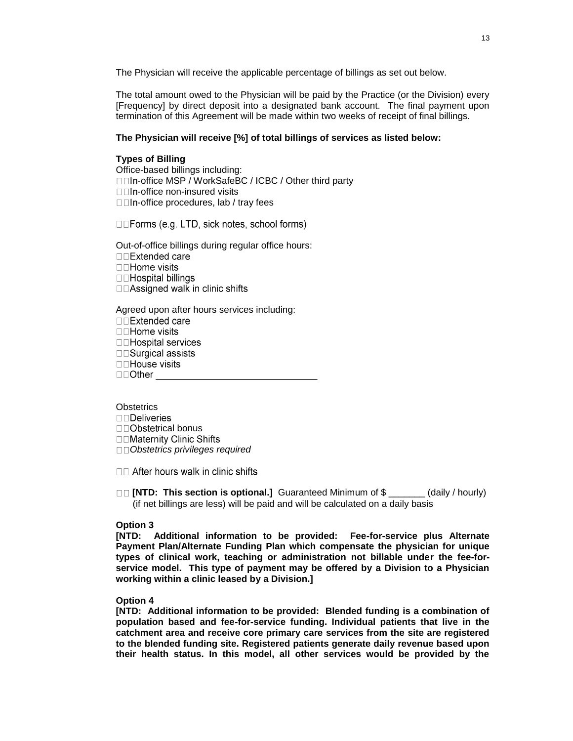The Physician will receive the applicable percentage of billings as set out below.

The total amount owed to the Physician will be paid by the Practice (or the Division) every [Frequency] by direct deposit into a designated bank account. The final payment upon termination of this Agreement will be made within two weeks of receipt of final billings.

#### **The Physician will receive [%] of total billings of services as listed below:**

#### **Types of Billing**

Office-based billings including: □□In-office MSP / WorkSafeBC / ICBC / Other third party  $\square$ In-office non-insured visits □□In-office procedures, lab / tray fees

□□Forms (e.g. LTD, sick notes, school forms)

Out-of-office billings during regular office hours: □□Extended care **□□Home visits** □□Hospital billings □□Assigned walk in clinic shifts

Agreed upon after hours services including: □□Extended care **□□Home visits** □□Hospital services □□Surgical assists □□House visits  $\square$   $\Box$  Other

**Obstetrics DDeliveries** □□Obstetrical bonus □□Maternity Clinic Shifts *Obstetrics privileges required*

□□ After hours walk in clinic shifts

**[NTD: This section is optional.]** Guaranteed Minimum of \$ \_\_\_\_\_\_\_ (daily / hourly) (if net billings are less) will be paid and will be calculated on a daily basis

#### **Option 3**

**[NTD: Additional information to be provided: Fee-for-service plus Alternate Payment Plan/Alternate Funding Plan which compensate the physician for unique types of clinical work, teaching or administration not billable under the fee-forservice model. This type of payment may be offered by a Division to a Physician working within a clinic leased by a Division.]**

#### **Option 4**

**[NTD: Additional information to be provided: Blended funding is a combination of population based and fee-for-service funding. Individual patients that live in the catchment area and receive core primary care services from the site are registered to the blended funding site. Registered patients generate daily revenue based upon their health status. In this model, all other services would be provided by the**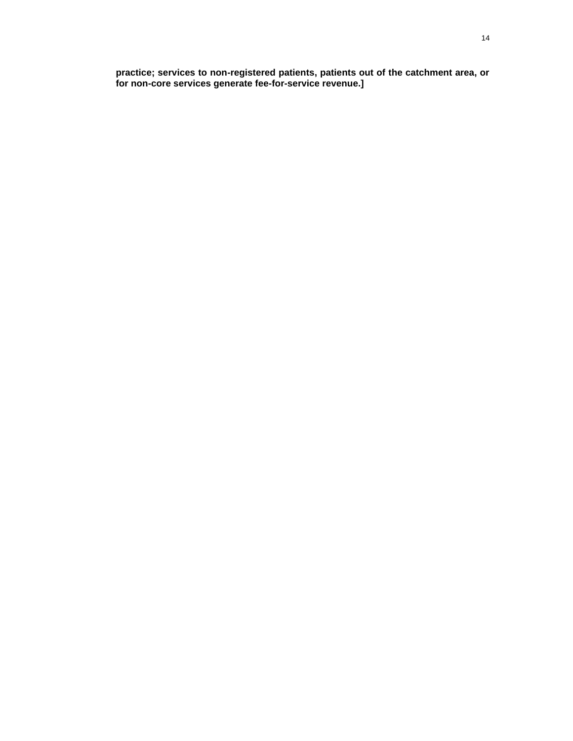**practice; services to non-registered patients, patients out of the catchment area, or for non-core services generate fee-for-service revenue.]**